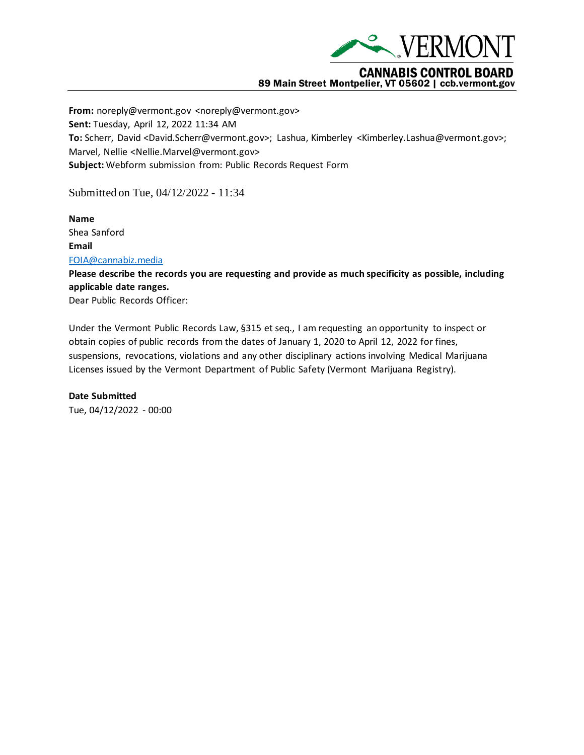

## **CANNABIS CONTROL BOARD** 89 Main Street Montpelier, VT 05602 | ccb.vermont.gov

**From:** noreply@vermont.gov <noreply@vermont.gov> **Sent:** Tuesday, April 12, 2022 11:34 AM **To:** Scherr, David <David.Scherr@vermont.gov>; Lashua, Kimberley <Kimberley.Lashua@vermont.gov>; Marvel, Nellie <Nellie.Marvel@vermont.gov> **Subject:** Webform submission from: Public Records Request Form

Submitted on Tue, 04/12/2022 - 11:34

**Name** Shea Sanford **Email** [FOIA@cannabiz.media](mailto:FOIA@cannabiz.media)

**Please describe the records you are requesting and provide as much specificity as possible, including applicable date ranges.**

Dear Public Records Officer:

Under the Vermont Public Records Law, §315 et seq., I am requesting an opportunity to inspect or obtain copies of public records from the dates of January 1, 2020 to April 12, 2022 for fines, suspensions, revocations, violations and any other disciplinary actions involving Medical Marijuana Licenses issued by the Vermont Department of Public Safety (Vermont Marijuana Registry).

**Date Submitted** Tue, 04/12/2022 - 00:00